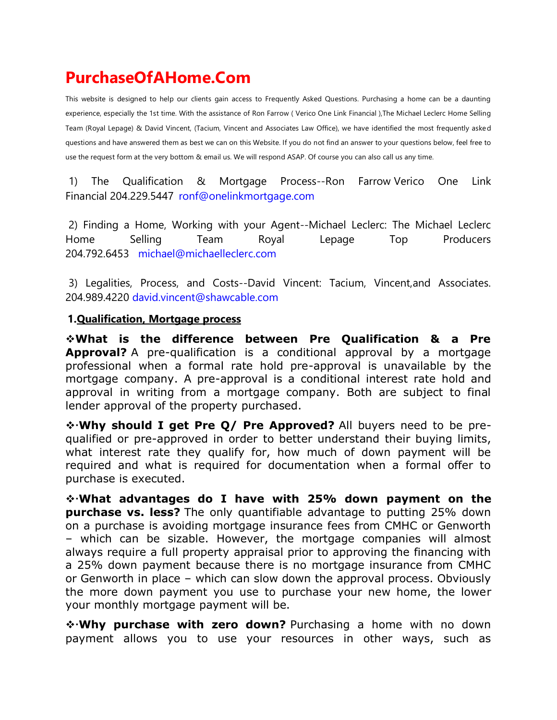# **PurchaseOfAHome.Com**

This website is designed to help our clients gain access to Frequently Asked Questions. Purchasing a home can be a daunting experience, especially the 1st time. With the assistance of Ron Farrow ( Verico One Link Financial ),The Michael Leclerc Home Selling Team (Royal Lepage) & David Vincent, (Tacium, Vincent and Associates Law Office), we have identified the most frequently asked questions and have answered them as best we can on this Website. If you do not find an answer to your questions below, feel free to use the request form at the very bottom & email us. We will respond ASAP. Of course you can also call us any time.

1) The Qualification & Mortgage Process--Ron Farrow Verico One Link Financial 204.229.5447 [ronf@onelinkmortgage.com](mailto:ronf@onelinkmortgage.com)

2) Finding a Home, Working with your Agent--Michael Leclerc: The Michael Leclerc Home Selling Team Royal Lepage Top Producers 204.792.6453 [michael@michaelleclerc.com](mailto:michael@michaelleclerc.com)

3) Legalities, Process, and Costs--David Vincent: Tacium, Vincent,and Associates. 204.989.4220 [david.vincent@shawcable.com](mailto:david.vincent@shawcable.com)

### **1.Qualification, Mortgage process**

❖**What is the difference between Pre Qualification & a Pre Approval?** A pre-qualification is a conditional approval by a mortgage professional when a formal rate hold pre-approval is unavailable by the mortgage company. A pre-approval is a conditional interest rate hold and approval in writing from a mortgage company. Both are subject to final lender approval of the property purchased.

❖**Why should I get Pre Q/ Pre Approved?** All buyers need to be prequalified or pre-approved in order to better understand their buying limits, what interest rate they qualify for, how much of down payment will be required and what is required for documentation when a formal offer to purchase is executed.

❖**What advantages do I have with 25% down payment on the purchase vs. less?** The only quantifiable advantage to putting 25% down on a purchase is avoiding mortgage insurance fees from CMHC or Genworth – which can be sizable. However, the mortgage companies will almost always require a full property appraisal prior to approving the financing with a 25% down payment because there is no mortgage insurance from CMHC or Genworth in place – which can slow down the approval process. Obviously the more down payment you use to purchase your new home, the lower your monthly mortgage payment will be.

❖**Why purchase with zero down?** Purchasing a home with no down payment allows you to use your resources in other ways, such as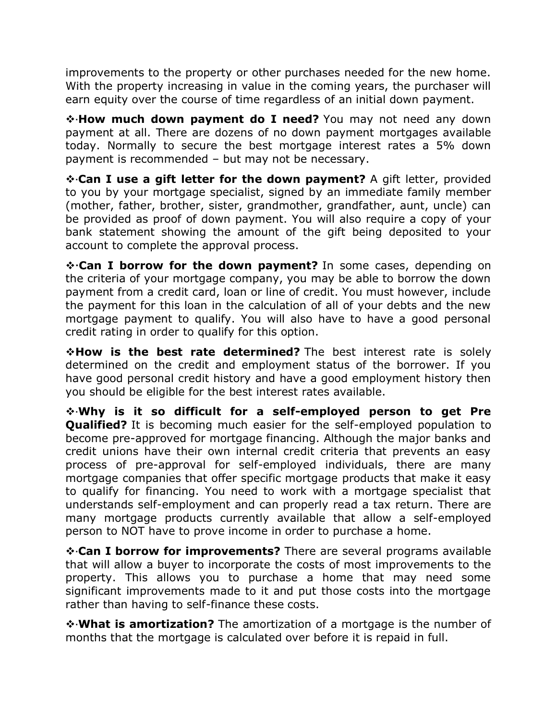improvements to the property or other purchases needed for the new home. With the property increasing in value in the coming years, the purchaser will earn equity over the course of time regardless of an initial down payment.

❖**How much down payment do I need?** You may not need any down payment at all. There are dozens of no down payment mortgages available today. Normally to secure the best mortgage interest rates a 5% down payment is recommended – but may not be necessary.

❖**Can I use a gift letter for the down payment?** A gift letter, provided to you by your mortgage specialist, signed by an immediate family member (mother, father, brother, sister, grandmother, grandfather, aunt, uncle) can be provided as proof of down payment. You will also require a copy of your bank statement showing the amount of the gift being deposited to your account to complete the approval process.

❖**Can I borrow for the down payment?** In some cases, depending on the criteria of your mortgage company, you may be able to borrow the down payment from a credit card, loan or line of credit. You must however, include the payment for this loan in the calculation of all of your debts and the new mortgage payment to qualify. You will also have to have a good personal credit rating in order to qualify for this option.

❖**How is the best rate determined?** The best interest rate is solely determined on the credit and employment status of the borrower. If you have good personal credit history and have a good employment history then you should be eligible for the best interest rates available.

❖**Why is it so difficult for a self-employed person to get Pre Qualified?** It is becoming much easier for the self-employed population to become pre-approved for mortgage financing. Although the major banks and credit unions have their own internal credit criteria that prevents an easy process of pre-approval for self-employed individuals, there are many mortgage companies that offer specific mortgage products that make it easy to qualify for financing. You need to work with a mortgage specialist that understands self-employment and can properly read a tax return. There are many mortgage products currently available that allow a self-employed person to NOT have to prove income in order to purchase a home.

❖**Can I borrow for improvements?** There are several programs available that will allow a buyer to incorporate the costs of most improvements to the property. This allows you to purchase a home that may need some significant improvements made to it and put those costs into the mortgage rather than having to self-finance these costs.

❖**What is amortization?** The amortization of a mortgage is the number of months that the mortgage is calculated over before it is repaid in full.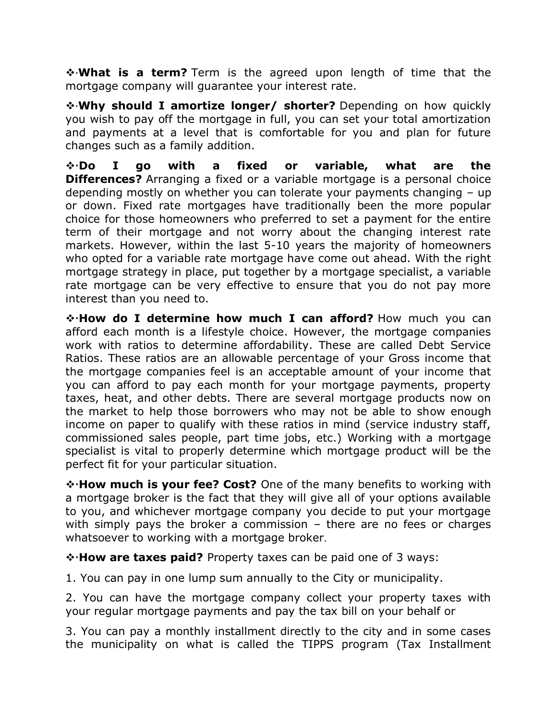❖**What is a term?** Term is the agreed upon length of time that the mortgage company will guarantee your interest rate.

❖**Why should I amortize longer/ shorter?** Depending on how quickly you wish to pay off the mortgage in full, you can set your total amortization and payments at a level that is comfortable for you and plan for future changes such as a family addition.

❖**Do I go with a fixed or variable, what are the Differences?** Arranging a fixed or a variable mortgage is a personal choice depending mostly on whether you can tolerate your payments changing – up or down. Fixed rate mortgages have traditionally been the more popular choice for those homeowners who preferred to set a payment for the entire term of their mortgage and not worry about the changing interest rate markets. However, within the last 5-10 years the majority of homeowners who opted for a variable rate mortgage have come out ahead. With the right mortgage strategy in place, put together by a mortgage specialist, a variable rate mortgage can be very effective to ensure that you do not pay more interest than you need to.

❖**How do I determine how much I can afford?** How much you can afford each month is a lifestyle choice. However, the mortgage companies work with ratios to determine affordability. These are called Debt Service Ratios. These ratios are an allowable percentage of your Gross income that the mortgage companies feel is an acceptable amount of your income that you can afford to pay each month for your mortgage payments, property taxes, heat, and other debts. There are several mortgage products now on the market to help those borrowers who may not be able to show enough income on paper to qualify with these ratios in mind (service industry staff, commissioned sales people, part time jobs, etc.) Working with a mortgage specialist is vital to properly determine which mortgage product will be the perfect fit for your particular situation.

❖**How much is your fee? Cost?** One of the many benefits to working with a mortgage broker is the fact that they will give all of your options available to you, and whichever mortgage company you decide to put your mortgage with simply pays the broker a commission – there are no fees or charges whatsoever to working with a mortgage broker.

❖**How are taxes paid?** Property taxes can be paid one of 3 ways:

1. You can pay in one lump sum annually to the City or municipality.

2. You can have the mortgage company collect your property taxes with your regular mortgage payments and pay the tax bill on your behalf or

3. You can pay a monthly installment directly to the city and in some cases the municipality on what is called the TIPPS program (Tax Installment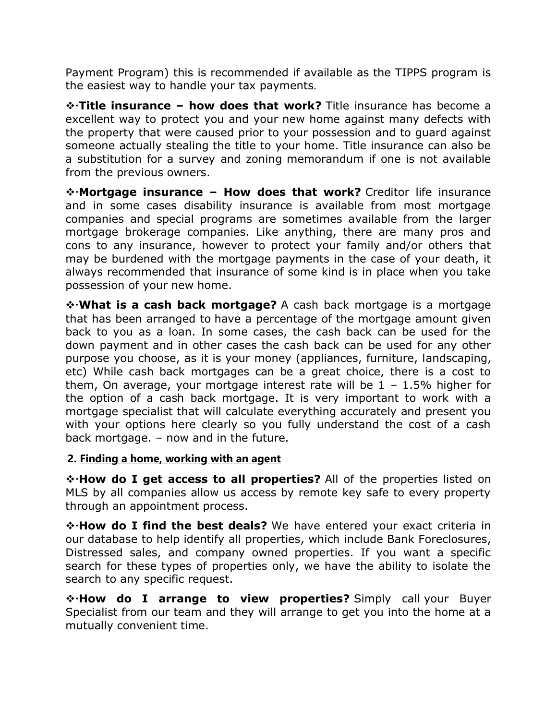Payment Program) this is recommended if available as the TIPPS program is the easiest way to handle your tax payments.

❖**Title insurance – how does that work?** Title insurance has become a excellent way to protect you and your new home against many defects with the property that were caused prior to your possession and to guard against someone actually stealing the title to your home. Title insurance can also be a substitution for a survey and zoning memorandum if one is not available from the previous owners.

❖**Mortgage insurance – How does that work?** Creditor life insurance and in some cases disability insurance is available from most mortgage companies and special programs are sometimes available from the larger mortgage brokerage companies. Like anything, there are many pros and cons to any insurance, however to protect your family and/or others that may be burdened with the mortgage payments in the case of your death, it always recommended that insurance of some kind is in place when you take possession of your new home.

❖**What is a cash back mortgage?** A cash back mortgage is a mortgage that has been arranged to have a percentage of the mortgage amount given back to you as a loan. In some cases, the cash back can be used for the down payment and in other cases the cash back can be used for any other purpose you choose, as it is your money (appliances, furniture, landscaping, etc) While cash back mortgages can be a great choice, there is a cost to them, On average, your mortgage interest rate will be  $1 - 1.5\%$  higher for the option of a cash back mortgage. It is very important to work with a mortgage specialist that will calculate everything accurately and present you with your options here clearly so you fully understand the cost of a cash back mortgage. – now and in the future.

### **2. Finding a home, working with an agent**

❖**How do I get access to all properties?** All of the properties listed on MLS by all companies allow us access by remote key safe to every property through an appointment process.

❖**How do I find the best deals?** We have entered your exact criteria in our database to help identify all properties, which include Bank Foreclosures, Distressed sales, and company owned properties. If you want a specific search for these types of properties only, we have the ability to isolate the search to any specific request.

❖**How do I arrange to view properties?** Simply call your Buyer Specialist from our team and they will arrange to get you into the home at a mutually convenient time.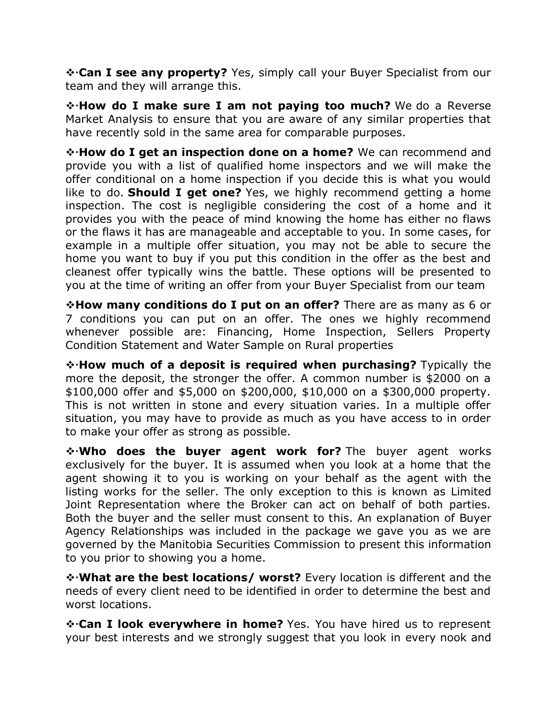❖**Can I see any property?** Yes, simply call your Buyer Specialist from our team and they will arrange this.

❖**How do I make sure I am not paying too much?** We do a Reverse Market Analysis to ensure that you are aware of any similar properties that have recently sold in the same area for comparable purposes.

❖**How do I get an inspection done on a home?** We can recommend and provide you with a list of qualified home inspectors and we will make the offer conditional on a home inspection if you decide this is what you would like to do. **Should I get one?** Yes, we highly recommend getting a home inspection. The cost is negligible considering the cost of a home and it provides you with the peace of mind knowing the home has either no flaws or the flaws it has are manageable and acceptable to you. In some cases, for example in a multiple offer situation, you may not be able to secure the home you want to buy if you put this condition in the offer as the best and cleanest offer typically wins the battle. These options will be presented to you at the time of writing an offer from your Buyer Specialist from our team

❖**How many conditions do I put on an offer?** There are as many as 6 or 7 conditions you can put on an offer. The ones we highly recommend whenever possible are: Financing, Home Inspection, Sellers Property Condition Statement and Water Sample on Rural properties

❖**How much of a deposit is required when purchasing?** Typically the more the deposit, the stronger the offer. A common number is \$2000 on a \$100,000 offer and \$5,000 on \$200,000, \$10,000 on a \$300,000 property. This is not written in stone and every situation varies. In a multiple offer situation, you may have to provide as much as you have access to in order to make your offer as strong as possible.

❖**Who does the buyer agent work for?** The buyer agent works exclusively for the buyer. It is assumed when you look at a home that the agent showing it to you is working on your behalf as the agent with the listing works for the seller. The only exception to this is known as Limited Joint Representation where the Broker can act on behalf of both parties. Both the buyer and the seller must consent to this. An explanation of Buyer Agency Relationships was included in the package we gave you as we are governed by the Manitobia Securities Commission to present this information to you prior to showing you a home.

❖**What are the best locations/ worst?** Every location is different and the needs of every client need to be identified in order to determine the best and worst locations.

❖**Can I look everywhere in home?** Yes. You have hired us to represent your best interests and we strongly suggest that you look in every nook and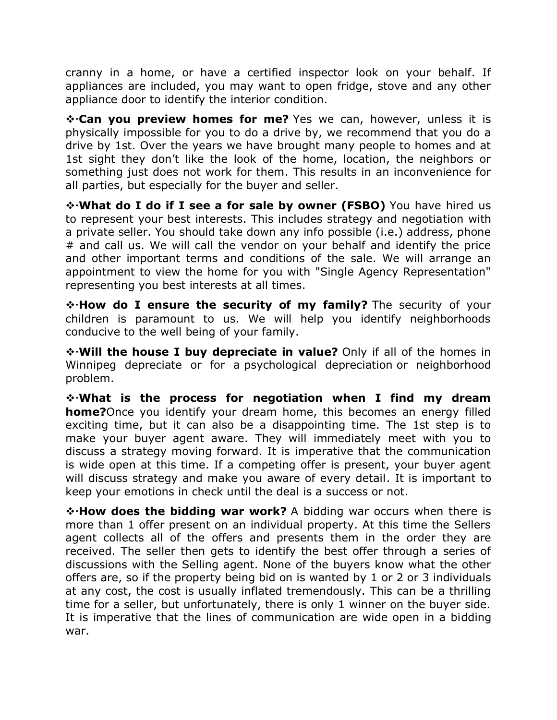cranny in a home, or have a certified inspector look on your behalf. If appliances are included, you may want to open fridge, stove and any other appliance door to identify the interior condition.

❖**Can you preview homes for me?** Yes we can, however, unless it is physically impossible for you to do a drive by, we recommend that you do a drive by 1st. Over the years we have brought many people to homes and at 1st sight they don't like the look of the home, location, the neighbors or something just does not work for them. This results in an inconvenience for all parties, but especially for the buyer and seller.

❖**What do I do if I see a for sale by owner (FSBO)** You have hired us to represent your best interests. This includes strategy and negotiation with a private seller. You should take down any info possible (i.e.) address, phone # and call us. We will call the vendor on your behalf and identify the price and other important terms and conditions of the sale. We will arrange an appointment to view the home for you with "Single Agency Representation" representing you best interests at all times.

❖**How do I ensure the security of my family?** The security of your children is paramount to us. We will help you identify neighborhoods conducive to the well being of your family.

❖**Will the house I buy depreciate in value?** Only if all of the homes in Winnipeg depreciate or for a psychological depreciation or neighborhood problem.

❖**What is the process for negotiation when I find my dream home?**Once you identify your dream home, this becomes an energy filled exciting time, but it can also be a disappointing time. The 1st step is to make your buyer agent aware. They will immediately meet with you to discuss a strategy moving forward. It is imperative that the communication is wide open at this time. If a competing offer is present, your buyer agent will discuss strategy and make you aware of every detail. It is important to keep your emotions in check until the deal is a success or not.

❖**How does the bidding war work?** A bidding war occurs when there is more than 1 offer present on an individual property. At this time the Sellers agent collects all of the offers and presents them in the order they are received. The seller then gets to identify the best offer through a series of discussions with the Selling agent. None of the buyers know what the other offers are, so if the property being bid on is wanted by 1 or 2 or 3 individuals at any cost, the cost is usually inflated tremendously. This can be a thrilling time for a seller, but unfortunately, there is only 1 winner on the buyer side. It is imperative that the lines of communication are wide open in a bidding war.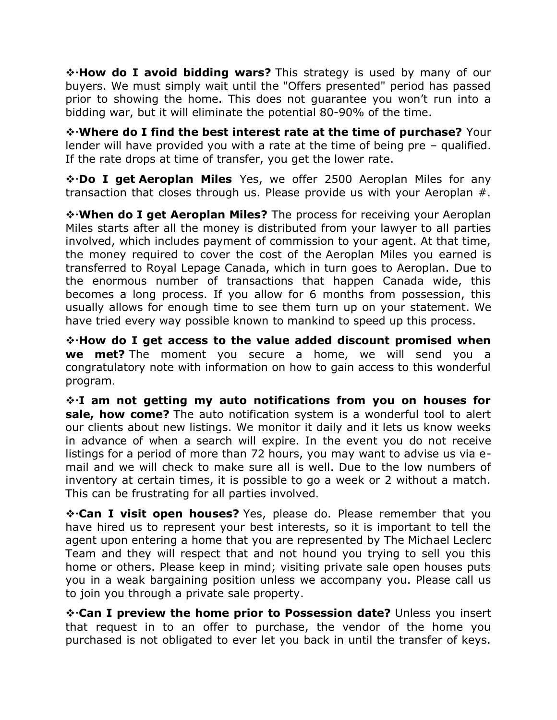❖**How do I avoid bidding wars?** This strategy is used by many of our buyers. We must simply wait until the "Offers presented" period has passed prior to showing the home. This does not guarantee you won't run into a bidding war, but it will eliminate the potential 80-90% of the time.

❖**Where do I find the best interest rate at the time of purchase?** Your lender will have provided you with a rate at the time of being pre – qualified. If the rate drops at time of transfer, you get the lower rate.

❖**Do I get Aeroplan Miles** Yes, we offer 2500 Aeroplan Miles for any transaction that closes through us. Please provide us with your Aeroplan #.

❖**When do I get Aeroplan Miles?** The process for receiving your Aeroplan Miles starts after all the money is distributed from your lawyer to all parties involved, which includes payment of commission to your agent. At that time, the money required to cover the cost of the Aeroplan Miles you earned is transferred to Royal Lepage Canada, which in turn goes to Aeroplan. Due to the enormous number of transactions that happen Canada wide, this becomes a long process. If you allow for 6 months from possession, this usually allows for enough time to see them turn up on your statement. We have tried every way possible known to mankind to speed up this process.

❖**How do I get access to the value added discount promised when we met?** The moment you secure a home, we will send you a congratulatory note with information on how to gain access to this wonderful program.

❖**I am not getting my auto notifications from you on houses for sale, how come?** The auto notification system is a wonderful tool to alert our clients about new listings. We monitor it daily and it lets us know weeks in advance of when a search will expire. In the event you do not receive listings for a period of more than 72 hours, you may want to advise us via email and we will check to make sure all is well. Due to the low numbers of inventory at certain times, it is possible to go a week or 2 without a match. This can be frustrating for all parties involved.

❖**Can I visit open houses?** Yes, please do. Please remember that you have hired us to represent your best interests, so it is important to tell the agent upon entering a home that you are represented by The Michael Leclerc Team and they will respect that and not hound you trying to sell you this home or others. Please keep in mind; visiting private sale open houses puts you in a weak bargaining position unless we accompany you. Please call us to join you through a private sale property.

❖**Can I preview the home prior to Possession date?** Unless you insert that request in to an offer to purchase, the vendor of the home you purchased is not obligated to ever let you back in until the transfer of keys.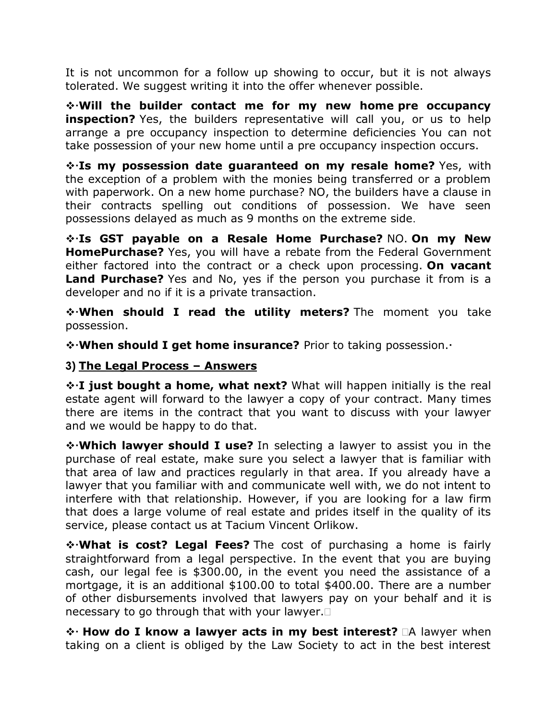It is not uncommon for a follow up showing to occur, but it is not always tolerated. We suggest writing it into the offer whenever possible.

❖**Will the builder contact me for my new home pre occupancy inspection?** Yes, the builders representative will call you, or us to help arrange a pre occupancy inspection to determine deficiencies You can not take possession of your new home until a pre occupancy inspection occurs.

❖**Is my possession date guaranteed on my resale home?** Yes, with the exception of a problem with the monies being transferred or a problem with paperwork. On a new home purchase? NO, the builders have a clause in their contracts spelling out conditions of possession. We have seen possessions delayed as much as 9 months on the extreme side.

❖**Is GST payable on a Resale Home Purchase?** NO. **On my New HomePurchase?** Yes, you will have a rebate from the Federal Government either factored into the contract or a check upon processing. **On vacant Land Purchase?** Yes and No, yes if the person you purchase it from is a developer and no if it is a private transaction.

❖**When should I read the utility meters?** The moment you take possession.

❖**When should I get home insurance?** Prior to taking possession.

## **3) The Legal Process – Answers**

❖**I just bought a home, what next?** What will happen initially is the real estate agent will forward to the lawyer a copy of your contract. Many times there are items in the contract that you want to discuss with your lawyer and we would be happy to do that.

❖**Which lawyer should I use?** In selecting a lawyer to assist you in the purchase of real estate, make sure you select a lawyer that is familiar with that area of law and practices regularly in that area. If you already have a lawyer that you familiar with and communicate well with, we do not intent to interfere with that relationship. However, if you are looking for a law firm that does a large volume of real estate and prides itself in the quality of its service, please contact us at Tacium Vincent Orlikow.

❖**What is cost? Legal Fees?** The cost of purchasing a home is fairly straightforward from a legal perspective. In the event that you are buying cash, our legal fee is \$300.00, in the event you need the assistance of a mortgage, it is an additional \$100.00 to total \$400.00. There are a number of other disbursements involved that lawyers pay on your behalf and it is necessary to go through that with your lawyer.

**❖ How do I know a lawyer acts in my best interest?** □A lawyer when taking on a client is obliged by the Law Society to act in the best interest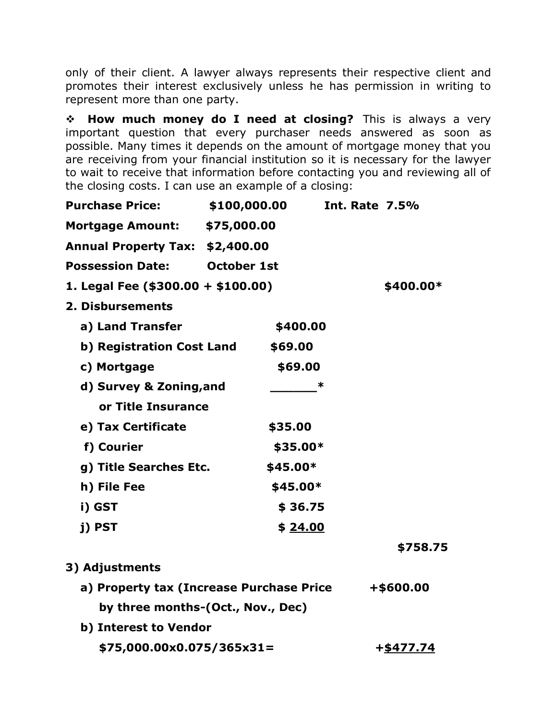only of their client. A lawyer always represents their respective client and promotes their interest exclusively unless he has permission in writing to represent more than one party.

❖ **How much money do I need at closing?** This is always a very important question that every purchaser needs answered as soon as possible. Many times it depends on the amount of mortgage money that you are receiving from your financial institution so it is necessary for the lawyer to wait to receive that information before contacting you and reviewing all of the closing costs. I can use an example of a closing:

| <b>Purchase Price:</b>                   | \$100,000.00 |           | <b>Int. Rate 7.5%</b> |
|------------------------------------------|--------------|-----------|-----------------------|
| Mortgage Amount: \$75,000.00             |              |           |                       |
| Annual Property Tax: \$2,400.00          |              |           |                       |
| <b>Possession Date: October 1st</b>      |              |           |                       |
| 1. Legal Fee $($300.00 + $100.00)$       |              |           | \$400.00*             |
| 2. Disbursements                         |              |           |                       |
| a) Land Transfer                         |              | \$400.00  |                       |
| b) Registration Cost Land                |              | \$69.00   |                       |
| c) Mortgage                              |              | \$69.00   |                       |
| d) Survey & Zoning, and                  |              | ∗         |                       |
| or Title Insurance                       |              |           |                       |
| e) Tax Certificate                       |              | \$35.00   |                       |
| f) Courier                               |              | \$35.00*  |                       |
| g) Title Searches Etc.                   |              | $$45.00*$ |                       |
| h) File Fee                              |              | \$45.00*  |                       |
| i) GST                                   |              | \$36.75   |                       |
| j) PST                                   |              | \$ 24.00  |                       |
|                                          |              |           | \$758.75              |
| 3) Adjustments                           |              |           |                       |
| a) Property tax (Increase Purchase Price |              |           | +\$600.00             |
| by three months-(Oct., Nov., Dec)        |              |           |                       |
| b) Interest to Vendor                    |              |           |                       |
| \$75,000.00x0.075/365x31=                |              |           | +\$477.74             |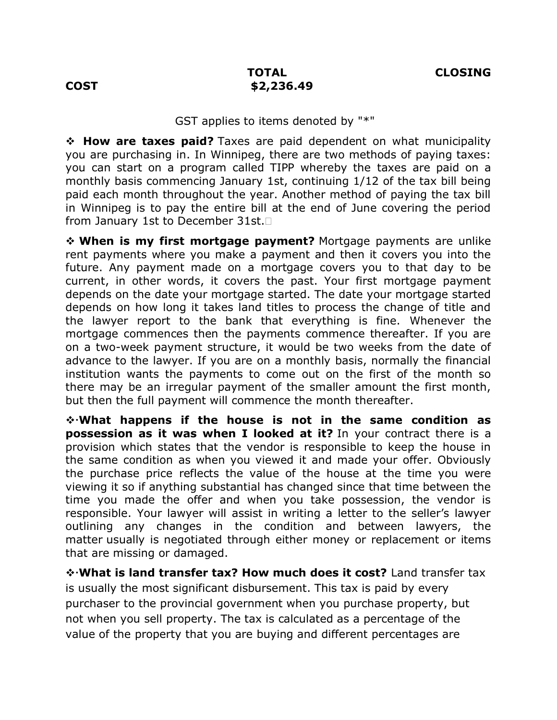#### GST applies to items denoted by "\*"

❖ **How are taxes paid?** Taxes are paid dependent on what municipality you are purchasing in. In Winnipeg, there are two methods of paying taxes: you can start on a program called TIPP whereby the taxes are paid on a monthly basis commencing January 1st, continuing 1/12 of the tax bill being paid each month throughout the year. Another method of paying the tax bill in Winnipeg is to pay the entire bill at the end of June covering the period from January 1st to December 31st.

❖ **When is my first mortgage payment?** Mortgage payments are unlike rent payments where you make a payment and then it covers you into the future. Any payment made on a mortgage covers you to that day to be current, in other words, it covers the past. Your first mortgage payment depends on the date your mortgage started. The date your mortgage started depends on how long it takes land titles to process the change of title and the lawyer report to the bank that everything is fine. Whenever the mortgage commences then the payments commence thereafter. If you are on a two-week payment structure, it would be two weeks from the date of advance to the lawyer. If you are on a monthly basis, normally the financial institution wants the payments to come out on the first of the month so there may be an irregular payment of the smaller amount the first month, but then the full payment will commence the month thereafter.

❖**What happens if the house is not in the same condition as possession as it was when I looked at it?** In your contract there is a provision which states that the vendor is responsible to keep the house in the same condition as when you viewed it and made your offer. Obviously the purchase price reflects the value of the house at the time you were viewing it so if anything substantial has changed since that time between the time you made the offer and when you take possession, the vendor is responsible. Your lawyer will assist in writing a letter to the seller's lawyer outlining any changes in the condition and between lawyers, the matter usually is negotiated through either money or replacement or items that are missing or damaged.

❖**What is land transfer tax? How much does it cost?** Land transfer tax is usually the most significant disbursement. This tax is paid by every purchaser to the provincial government when you purchase property, but not when you sell property. The tax is calculated as a percentage of the value of the property that you are buying and different percentages are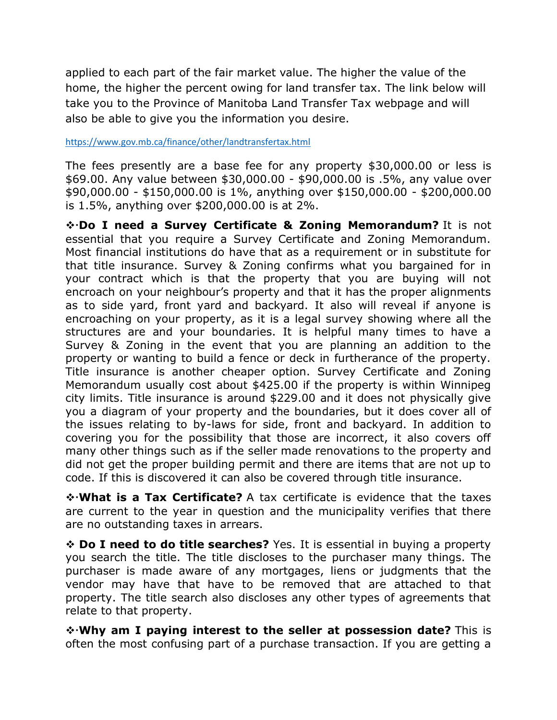applied to each part of the fair market value. The higher the value of the home, the higher the percent owing for land transfer tax. The link below will take you to the Province of Manitoba Land Transfer Tax webpage and will also be able to give you the information you desire.

<https://www.gov.mb.ca/finance/other/landtransfertax.html>

The fees presently are a base fee for any property \$30,000.00 or less is \$69.00. Any value between \$30,000.00 - \$90,000.00 is .5%, any value over \$90,000.00 - \$150,000.00 is 1%, anything over \$150,000.00 - \$200,000.00 is 1.5%, anything over \$200,000.00 is at 2%.

❖**Do I need a Survey Certificate & Zoning Memorandum?** It is not essential that you require a Survey Certificate and Zoning Memorandum. Most financial institutions do have that as a requirement or in substitute for that title insurance. Survey & Zoning confirms what you bargained for in your contract which is that the property that you are buying will not encroach on your neighbour's property and that it has the proper alignments as to side yard, front yard and backyard. It also will reveal if anyone is encroaching on your property, as it is a legal survey showing where all the structures are and your boundaries. It is helpful many times to have a Survey & Zoning in the event that you are planning an addition to the property or wanting to build a fence or deck in furtherance of the property. Title insurance is another cheaper option. Survey Certificate and Zoning Memorandum usually cost about \$425.00 if the property is within Winnipeg city limits. Title insurance is around \$229.00 and it does not physically give you a diagram of your property and the boundaries, but it does cover all of the issues relating to by-laws for side, front and backyard. In addition to covering you for the possibility that those are incorrect, it also covers off many other things such as if the seller made renovations to the property and did not get the proper building permit and there are items that are not up to code. If this is discovered it can also be covered through title insurance.

❖**What is a Tax Certificate?** A tax certificate is evidence that the taxes are current to the year in question and the municipality verifies that there are no outstanding taxes in arrears.

❖ **Do I need to do title searches?** Yes. It is essential in buying a property you search the title. The title discloses to the purchaser many things. The purchaser is made aware of any mortgages, liens or judgments that the vendor may have that have to be removed that are attached to that property. The title search also discloses any other types of agreements that relate to that property.

❖**Why am I paying interest to the seller at possession date?** This is often the most confusing part of a purchase transaction. If you are getting a